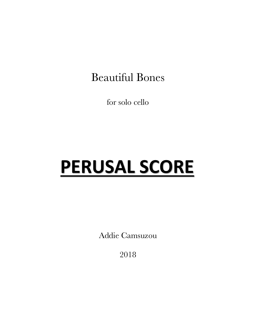## Beautiful Bones

for solo cello

# **PERUSAL SCORE**

Addie Camsuzou

2018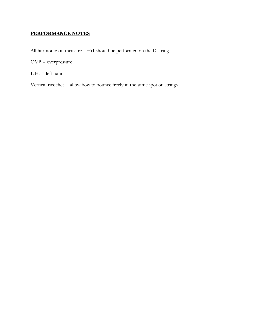#### **PERFORMANCE NOTES**

All harmonics in measures 1–51 should be performed on the D string

OVP = overpressure

 $L.H. = left$  hand

Vertical ricochet = allow bow to bounce freely in the same spot on strings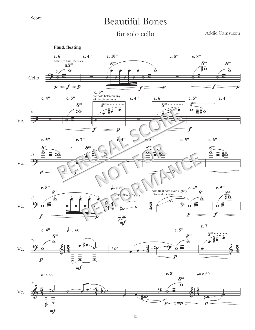## Beautiful Bones

### for solo cello

Addie Camsuzou

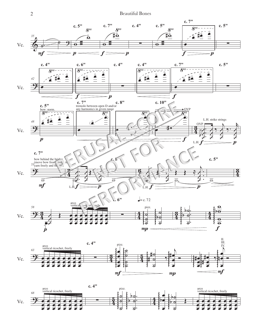